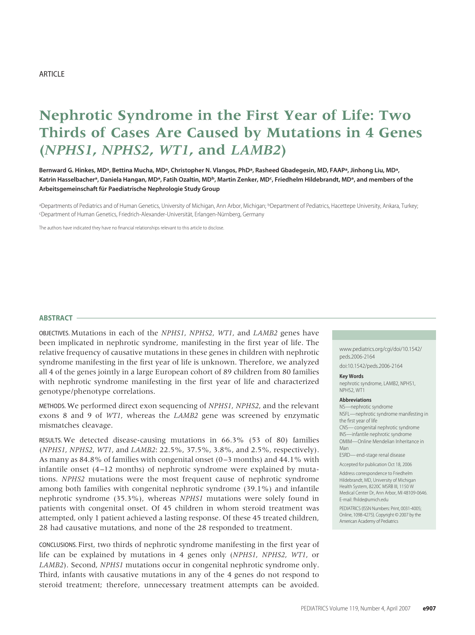# **Nephrotic Syndrome in the First Year of Life: Two Thirds of Cases Are Caused by Mutations in 4 Genes (***NPHS1***,** *NPHS2***,** *WT1***, and** *LAMB2***)**

Bernward G. Hinkes, MD<sup>a</sup>, Bettina Mucha, MD<sup>a</sup>, Christopher N. Vlangos, PhD<sup>a</sup>, Rasheed Gbadegesin, MD, FAAP<sup>a</sup>, Jinhong Liu, MD<sup>a</sup>, Katrin Hasselbacher<sup>a</sup>, Daniela Hangan, MD<sup>a</sup>, Fatih Ozaltin, MD<sup>b</sup>, Martin Zenker, MD<sup>c</sup>, Friedhelm Hildebrandt, MD<sup>a</sup>, and members of the **Arbeitsgemeinschaft fu¨ r Paediatrische Nephrologie Study Group**

aDepartments of Pediatrics and of Human Genetics, University of Michigan, Ann Arbor, Michigan; <sup>b</sup>Department of Pediatrics, Hacettepe University, Ankara, Turkey; CDepartment of Human Genetics, Friedrich-Alexander-Universität, Erlangen-Nürnberg, Germany

The authors have indicated they have no financial relationships relevant to this article to disclose.

#### **ABSTRACT**

OBJECTIVES. Mutations in each of the *NPHS1*, *NPHS2*, *WT1*, and *LAMB2* genes have been implicated in nephrotic syndrome, manifesting in the first year of life. The relative frequency of causative mutations in these genes in children with nephrotic syndrome manifesting in the first year of life is unknown. Therefore, we analyzed all 4 of the genes jointly in a large European cohort of 89 children from 80 families with nephrotic syndrome manifesting in the first year of life and characterized genotype/phenotype correlations.

METHODS. We performed direct exon sequencing of *NPHS1*, *NPHS2*, and the relevant exons 8 and 9 of *WT1*, whereas the *LAMB2* gene was screened by enzymatic mismatches cleavage.

RESULTS. We detected disease-causing mutations in 66.3% (53 of 80) families (*NPHS1*, *NPHS2*, *WT1*, and *LAMB2*: 22.5%, 37.5%, 3.8%, and 2.5%, respectively). As many as 84.8% of families with congenital onset (0 –3 months) and 44.1% with infantile onset (4 –12 months) of nephrotic syndrome were explained by mutations. *NPHS2* mutations were the most frequent cause of nephrotic syndrome among both families with congenital nephrotic syndrome (39.1%) and infantile nephrotic syndrome (35.3%), whereas *NPHS1* mutations were solely found in patients with congenital onset. Of 45 children in whom steroid treatment was attempted, only 1 patient achieved a lasting response. Of these 45 treated children, 28 had causative mutations, and none of the 28 responded to treatment.

CONCLUSIONS. First, two thirds of nephrotic syndrome manifesting in the first year of life can be explained by mutations in 4 genes only (*NPHS1*, *NPHS2*, *WT1*, or *LAMB2*). Second, *NPHS1* mutations occur in congenital nephrotic syndrome only. Third, infants with causative mutations in any of the 4 genes do not respond to steroid treatment; therefore, unnecessary treatment attempts can be avoided.

www.pediatrics.org/cgi/doi/10.1542/ peds.2006-2164

doi:10.1542/peds.2006-2164

#### **Key Words**

nephrotic syndrome, LAMB2, NPHS1, NPHS2, WT1

#### **Abbreviations**

NS—nephrotic syndrome NSFL—nephrotic syndrome manifesting in the first year of life CNS— congenital nephrotic syndrome INS—infantile nephrotic syndrome

OMIM—Online Mendelian Inheritance in Man

ESRD— end-stage renal disease

Accepted for publication Oct 18, 2006

Address correspondence to Friedhelm Hildebrandt, MD, University of Michigan Health System, 8220C MSRB III, 1150 W Medical Center Dr, Ann Arbor, MI 48109-0646. E-mail: fhilde@umich.edu

PEDIATRICS (ISSN Numbers: Print, 0031-4005; Online, 1098-4275). Copyright © 2007 by the American Academy of Pediatrics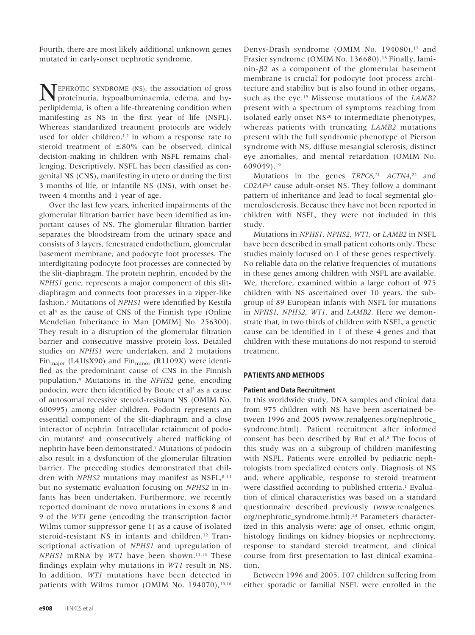Fourth, there are most likely additional unknown genes mutated in early-onset nephrotic syndrome.

TEPHROTIC SYNDROME (NS), the association of gross proteinuria, hypoalbuminaemia, edema, and hyperlipidemia, is often a life-threatening condition when manifesting as NS in the first year of life (NSFL). Whereas standardized treatment protocols are widely used for older children, $1,2$  in whom a response rate to steroid treatment of  $\leq 80\%$  can be observed, clinical decision-making in children with NSFL remains challenging. Descriptively, NSFL has been classified as congenital NS (CNS), manifesting in utero or during the first 3 months of life, or infantile NS (INS), with onset between 4 months and 1 year of age.

Over the last few years, inherited impairments of the glomerular filtration barrier have been identified as important causes of NS. The glomerular filtration barrier separates the bloodstream from the urinary space and consists of 3 layers, fenestrated endothelium, glomerular basement membrane, and podocyte foot processes. The interdigitating podocyte foot processes are connected by the slit-diaphragm. The protein nephrin, encoded by the *NPHS1* gene, represents a major component of this slitdiaphragm and connects foot processes in a zipper-like fashion.3 Mutations of *NPHS1* were identified by Kestila et al<sup>4</sup> as the cause of CNS of the Finnish type (Online Mendelian Inheritance in Man [OMIM] No. 256300). They result in a disruption of the glomerular filtration barrier and consecutive massive protein loss. Detailed studies on *NPHS1* were undertaken, and 2 mutations Fin<sub>major</sub> (L41fsX90) and Fin<sub>minor</sub> (R1109X) were identified as the predominant cause of CNS in the Finnish population.4 Mutations in the *NPHS2* gene, encoding podocin, were then identified by Boute et al<sup>5</sup> as a cause of autosomal recessive steroid-resistant NS (OMIM No. 600995) among older children. Podocin represents an essential component of the slit-diaphragm and a close interactor of nephrin. Intracellular retainment of podocin mutants<sup>6</sup> and consecutively altered trafficking of nephrin have been demonstrated.7 Mutations of podocin also result in a dysfunction of the glomerular filtration barrier. The preceding studies demonstrated that children with *NPHS2* mutations may manifest as NSFL,<sup>8-11</sup> but no systematic evaluation focusing on *NPHS2* in infants has been undertaken. Furthermore, we recently reported dominant de novo mutations in exons 8 and 9 of the *WT1* gene (encoding the transcription factor Wilms tumor suppressor gene 1) as a cause of isolated steroid-resistant NS in infants and children.12 Transcriptional activation of *NPHS1* and upregulation of *NPHS1* mRNA by *WT1* have been shown.13,14 These findings explain why mutations in *WT1* result in NS. In addition, *WT1* mutations have been detected in patients with Wilms tumor (OMIM No. 194070), $15,16$  Denys-Drash syndrome (OMIM No. 194080),<sup>17</sup> and Frasier syndrome (OMIM No. 136680).<sup>18</sup> Finally, lami- $\min-\beta$  as a component of the glomerular basement membrane is crucial for podocyte foot process architecture and stability but is also found in other organs, such as the eye.19 Missense mutations of the *LAMB2* present with a spectrum of symptoms reaching from isolated early onset NS<sup>20</sup> to intermediate phenotypes, whereas patients with truncating *LAMB2* mutations present with the full syndromic phenotype of Pierson syndrome with NS, diffuse mesangial sclerosis, distinct eye anomalies, and mental retardation (OMIM No. 609049).19

Mutations in the genes *TRPC6*,21 *ACTN4*,22 and *CD2AP*<sup>23</sup> cause adult-onset NS. They follow a dominant pattern of inheritance and lead to focal segmental glomerulosclerosis. Because they have not been reported in children with NSFL, they were not included in this study.

Mutations in *NPHS1*, *NPHS2*, *WT1*, or *LAMB2* in NSFL have been described in small patient cohorts only. These studies mainly focused on 1 of these genes respectively. No reliable data on the relative frequencies of mutations in these genes among children with NSFL are available. We, therefore, examined within a large cohort of 975 children with NS ascertained over 10 years, the subgroup of 89 European infants with NSFL for mutations in *NPHS1*, *NPHS2*, *WT1*, and *LAMB2*. Here we demonstrate that, in two thirds of children with NSFL, a genetic cause can be identified in 1 of these 4 genes and that children with these mutations do not respond to steroid treatment.

## **PATIENTS AND METHODS**

## **Patient and Data Recruitment**

In this worldwide study, DNA samples and clinical data from 975 children with NS have been ascertained between 1996 and 2005 (www.renalgenes.org/nephrotic\_ syndrome.html). Patient recruitment after informed consent has been described by Ruf et al.<sup>8</sup> The focus of this study was on a subgroup of children manifesting with NSFL. Patients were enrolled by pediatric nephrologists from specialized centers only. Diagnosis of NS and, where applicable, response to steroid treatment were classified according to published criteria.<sup>1</sup> Evaluation of clinical characteristics was based on a standard questionnaire described previously (www.renalgenes. org/nephrotic\_syndrome.html).24 Parameters characterized in this analysis were: age of onset, ethnic origin, histology findings on kidney biopsies or nephrectomy, response to standard steroid treatment, and clinical course from first presentation to last clinical examination.

Between 1996 and 2005, 107 children suffering from either sporadic or familial NSFL were enrolled in the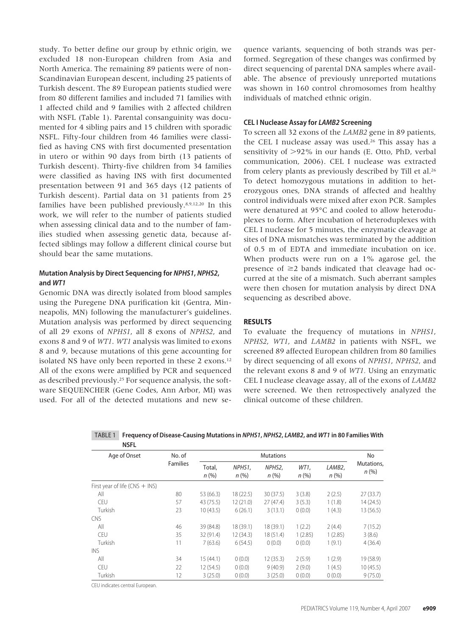study. To better define our group by ethnic origin, we excluded 18 non-European children from Asia and North America. The remaining 89 patients were of non-Scandinavian European descent, including 25 patients of Turkish descent. The 89 European patients studied were from 80 different families and included 71 families with 1 affected child and 9 families with 2 affected children with NSFL (Table 1). Parental consanguinity was documented for 4 sibling pairs and 15 children with sporadic NSFL. Fifty-four children from 46 families were classified as having CNS with first documented presentation in utero or within 90 days from birth (13 patients of Turkish descent). Thirty-five children from 34 families were classified as having INS with first documented presentation between 91 and 365 days (12 patients of Turkish descent). Partial data on 31 patients from 25 families have been published previously.8,9,12,20 In this work, we will refer to the number of patients studied when assessing clinical data and to the number of families studied when assessing genetic data, because affected siblings may follow a different clinical course but should bear the same mutations.

# **Mutation Analysis by Direct Sequencing for NPHS1, NPHS2, and WT1**

Genomic DNA was directly isolated from blood samples using the Puregene DNA purification kit (Gentra, Minneapolis, MN) following the manufacturer's guidelines. Mutation analysis was performed by direct sequencing of all 29 exons of *NPHS1*, all 8 exons of *NPHS2*, and exons 8 and 9 of *WT1*. *WT1* analysis was limited to exons 8 and 9, because mutations of this gene accounting for isolated NS have only been reported in these 2 exons.<sup>12</sup> All of the exons were amplified by PCR and sequenced as described previously.25 For sequence analysis, the software SEQUENCHER (Gene Codes, Ann Arbor, MI) was used. For all of the detected mutations and new sequence variants, sequencing of both strands was performed. Segregation of these changes was confirmed by direct sequencing of parental DNA samples where available. The absence of previously unreported mutations was shown in 160 control chromosomes from healthy individuals of matched ethnic origin.

# **CEL I Nuclease Assay for LAMB2 Screening**

To screen all 32 exons of the *LAMB2* gene in 89 patients, the CEL I nuclease assay was used.<sup>26</sup> This assay has a sensitivity of  $>92\%$  in our hands (E. Otto, PhD, verbal communication, 2006). CEL I nuclease was extracted from celery plants as previously described by Till et al.26 To detect homozygous mutations in addition to heterozygous ones, DNA strands of affected and healthy control individuals were mixed after exon PCR. Samples were denatured at 95°C and cooled to allow heteroduplexes to form. After incubation of heteroduplexes with CEL I nuclease for 5 minutes, the enzymatic cleavage at sites of DNA mismatches was terminated by the addition of 0.5 m of EDTA and immediate incubation on ice. When products were run on a 1% agarose gel, the presence of  $\geq$ 2 bands indicated that cleavage had occurred at the site of a mismatch. Such aberrant samples were then chosen for mutation analysis by direct DNA sequencing as described above.

# **RESULTS**

To evaluate the frequency of mutations in *NPHS1*, *NPHS2*, *WT1*, and *LAMB2* in patients with NSFL, we screened 89 affected European children from 80 families by direct sequencing of all exons of *NPHS1*, *NPHS2*, and the relevant exons 8 and 9 of *WT1.* Using an enzymatic CEL I nuclease cleavage assay, all of the exons of *LAMB2* were screened. We then retrospectively analyzed the clinical outcome of these children.

| <b>INDFL</b>                     |                 |                |                |                  |                  |                   |                    |
|----------------------------------|-----------------|----------------|----------------|------------------|------------------|-------------------|--------------------|
| Age of Onset                     | No. of          |                |                | <b>Mutations</b> |                  |                   | No.                |
|                                  | <b>Families</b> | Total,<br>n(%) | NPHS1,<br>n(%) | NPHS2,<br>n(%)   | WT1,<br>$n (\%)$ | LAMB2,<br>$n$ (%) | Mutations,<br>n(%) |
| First year of life (CNS $+$ INS) |                 |                |                |                  |                  |                   |                    |
| All                              | 80              | 53 (66.3)      | 18(22.5)       | 30 (37.5)        | 3(3.8)           | 2(2.5)            | 27(33.7)           |
| <b>CEU</b>                       | 57              | 43 (75.5)      | 12(21.0)       | 27(47.4)         | 3(5.3)           | 1(1.8)            | 14(24.5)           |
| Turkish                          | 23              | 10(43.5)       | 6(26.1)        | 3(13.1)          | 0(0.0)           | 1(4.3)            | 13(56.5)           |
| CNS                              |                 |                |                |                  |                  |                   |                    |
| All                              | 46              | 39 (84.8)      | 18 (39.1)      | 18 (39.1)        | 1(2.2)           | 2(4.4)            | 7(15.2)            |
| CEU                              | 35              | 32 (91.4)      | 12(34.3)       | 18(51.4)         | 1(2.85)          | 1(2.85)           | 3(8.6)             |
| Turkish                          | 11              | 7(63.6)        | 6(54.5)        | 0(0.0)           | 0(0.0)           | 1(9.1)            | 4(36.4)            |
| INS                              |                 |                |                |                  |                  |                   |                    |
| All                              | 34              | 15(44.1)       | 0(0.0)         | 12(35.3)         | 2(5.9)           | 1(2.9)            | 19 (58.9)          |
| CEU                              | 22              | 12(54.5)       | 0(0.0)         | 9(40.9)          | 2(9.0)           | 1(4.5)            | 10(45.5)           |
| Turkish                          | 12              | 3(25.0)        | 0(0.0)         | 3(25.0)          | 0(0.0)           | 0(0.0)            | 9(75.0)            |

TABLE 1 **Frequency of Disease-Causing Mutations in NPHS1, NPHS2, LAMB2, and WT1 in 80 Families With NICEL** 

CEU indicates central European.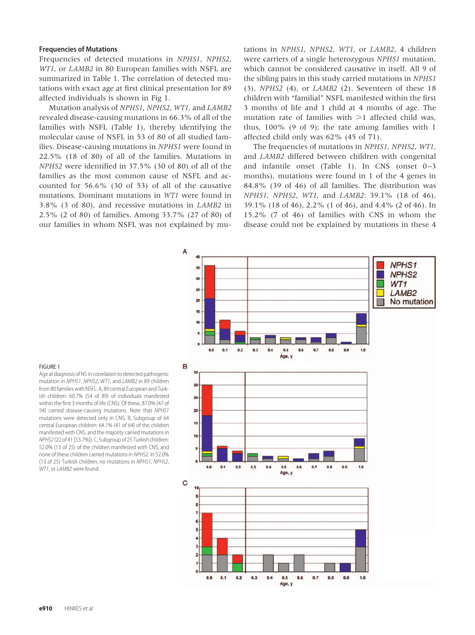## **Frequencies of Mutations**

Frequencies of detected mutations in *NPHS1*, *NPHS2*, *WT1*, or *LAMB2* in 80 European families with NSFL are summarized in Table 1. The correlation of detected mutations with exact age at first clinical presentation for 89 affected individuals is shown in Fig 1.

Mutation analysis of *NPHS1*, *NPHS2*, *WT1*, and *LAMB2* revealed disease-causing mutations in 66.3% of all of the families with NSFL (Table 1), thereby identifying the molecular cause of NSFL in 53 of 80 of all studied families. Disease-causing mutations in *NPHS1* were found in 22.5% (18 of 80) of all of the families. Mutations in *NPHS2* were identified in 37.5% (30 of 80) of all of the families as the most common cause of NSFL and accounted for 56.6% (30 of 53) of all of the causative mutations. Dominant mutations in *WT1* were found in 3.8% (3 of 80), and recessive mutations in *LAMB2* in 2.5% (2 of 80) of families. Among 33.7% (27 of 80) of our families in whom NSFL was not explained by mutations in *NPHS1*, *NPHS2*, *WT1*, or *LAMB2*, 4 children were carriers of a single heterozygous *NPHS1* mutation, which cannot be considered causative in itself. All 9 of the sibling pairs in this study carried mutations in *NPHS1* (3), *NPHS2* (4), or *LAMB2* (2). Seventeen of these 18 children with "familial" NSFL manifested within the first 3 months of life and 1 child at 4 months of age. The mutation rate of families with  $>1$  affected child was, thus, 100% (9 of 9); the rate among families with 1 affected child only was 62% (45 of 71).

The frequencies of mutations in *NPHS1*, *NPHS2*, *WT1*, and *LAMB2* differed between children with congenital and infantile onset (Table 1). In CNS (onset  $0-3$ months), mutations were found in 1 of the 4 genes in 84.8% (39 of 46) of all families. The distribution was *NPHS1*, *NPHS2*, *WT1*, and *LAMB2*: 39.1% (18 of 46), 39.1% (18 of 46), 2.2% (1 of 46), and 4.4% (2 of 46). In 15.2% (7 of 46) of families with CNS in whom the disease could not be explained by mutations in these 4



#### FIGURE 1

Age at diagnosis of NS in correlation to detected pathogenic mutation in NPHS1, NPHS2, WT1, and LAMB2 in 89 children from 80 families with NSFL. A, 89 central European and Turkish children: 60.7% (54 of 89) of individuals manifested within the first 3 months of life (CNS). Of these, 87.0% (47 of 54) carried disease-causing mutations. Note that NPHS1 mutations were detected only in CNS. B, Subgroup of 64 central European children: 64.1% (41 of 64) of the children manifested with CNS, and the majority carried mutations in NPHS2 (22 of 41 [53.7%]). C, Subgroup of 25 Turkish children: 52.0% (13 of 25) of the children manifested with CNS, and none of these children carried mutations in NPHS2. In 52.0% (13 of 25) Turkish children, no mutations in NPHS1, NPHS2, WT1, or LAMB2 were found.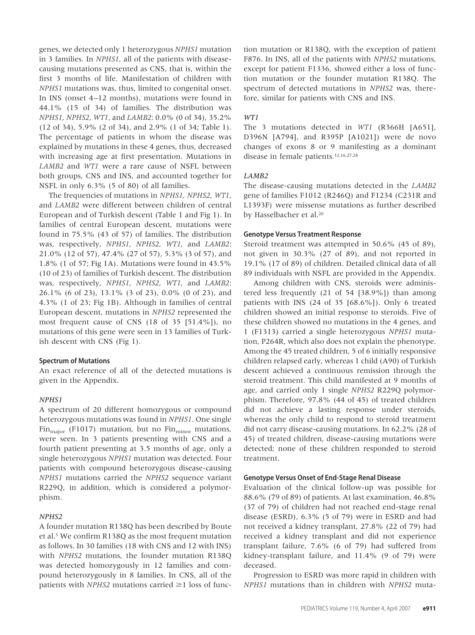genes, we detected only 1 heterozygous *NPHS1* mutation in 3 families. In *NPHS1*, all of the patients with diseasecausing mutations presented as CNS, that is, within the first 3 months of life. Manifestation of children with *NPHS1* mutations was, thus, limited to congenital onset. In INS (onset 4 –12 months), mutations were found in 44.1% (15 of 34) of families. The distribution was *NPHS1*, *NPHS2*, *WT1*, and *LAMB2*: 0.0% (0 of 34), 35.2% (12 of 34), 5.9% (2 of 34), and 2.9% (1 of 34; Table 1). The percentage of patients in whom the disease was explained by mutations in these 4 genes, thus, decreased with increasing age at first presentation. Mutations in *LAMB2* and *WT1* were a rare cause of NSFL between both groups, CNS and INS, and accounted together for NSFL in only 6.3% (5 of 80) of all families.

The frequencies of mutations in *NPHS1*, *NPHS2*, *WT1*, and *LAMB2* were different between children of central European and of Turkish descent (Table 1 and Fig 1). In families of central European descent, mutations were found in 75.5% (43 of 57) of families. The distribution was, respectively, *NPHS1*, *NPHS2*, *WT1*, and *LAMB2*: 21.0% (12 of 57), 47.4% (27 of 57), 5.3% (3 of 57), and 1.8% (1 of 57; Fig 1A). Mutations were found in 43.5% (10 of 23) of families of Turkish descent. The distribution was, respectively, *NPHS1*, *NPHS2*, *WT1*, and *LAMB2*: 26.1% (6 of 23), 13.1% (3 of 23), 0.0% (0 of 23), and 4.3% (1 of 23; Fig 1B). Although in families of central European descent, mutations in *NPHS2* represented the most frequent cause of CNS (18 of 35 [51.4%]), no mutations of this gene were seen in 13 families of Turkish descent with CNS (Fig 1).

# **Spectrum of Mutations**

An exact reference of all of the detected mutations is given in the Appendix.

#### *NPHS1*

A spectrum of 20 different homozygous or compound heterozygous mutations was found in *NPHS1*. One single Fin<sub>major</sub> (F1017) mutation, but no Fin<sub>minor</sub> mutations, were seen. In 3 patients presenting with CNS and a fourth patient presenting at 3.5 months of age, only a single heterozygous *NPHS1* mutation was detected. Four patients with compound heterozygous disease-causing *NPHS1* mutations carried the *NPHS2* sequence variant R229Q, in addition, which is considered a polymorphism.

#### *NPHS2*

A founder mutation R138Q has been described by Boute et al.5 We confirm R138Q as the most frequent mutation as follows. In 30 families (18 with CNS and 12 with INS) with *NPHS2* mutations, the founder mutation R138Q was detected homozygously in 12 families and compound heterozygously in 8 families. In CNS, all of the patients with *NPHS2* mutations carried  $\geq$ 1 loss of function mutation or R138Q, with the exception of patient F876. In INS, all of the patients with *NPHS2* mutations, except for patient F1336, showed either a loss of function mutation or the founder mutation R138Q. The spectrum of detected mutations in *NPHS2* was, therefore, similar for patients with CNS and INS.

#### *WT1*

The 3 mutations detected in *WT1* (R366H [A651], D396N [A794], and R395P [A1021]) were de novo changes of exons 8 or 9 manifesting as a dominant disease in female patients.12,16,27,28

# *LAMB2*

The disease-causing mutations detected in the *LAMB2* gene of families F1012 (R246Q) and F1234 (C231R and L1393F) were missense mutations as further described by Hasselbacher et al.<sup>20</sup>

#### **Genotype Versus Treatment Response**

Steroid treatment was attempted in 50.6% (45 of 89), not given in 30.3% (27 of 89), and not reported in 19.1% (17 of 89) of children. Detailed clinical data of all 89 individuals with NSFL are provided in the Appendix.

Among children with CNS, steroids were administered less frequently (21 of 54 [38.9%]) than among patients with INS (24 of 35 [68.6%]). Only 6 treated children showed an initial response to steroids. Five of these children showed no mutations in the 4 genes, and 1 (F1313) carried a single heterozygous *NPHS1* mutation, P264R, which also does not explain the phenotype. Among the 45 treated children, 5 of 6 initially responsive children relapsed early, whereas 1 child (A90) of Turkish descent achieved a continuous remission through the steroid treatment. This child manifested at 9 months of age, and carried only 1 single *NPHS2* R229Q polymorphism. Therefore, 97.8% (44 of 45) of treated children did not achieve a lasting response under steroids, whereas the only child to respond to steroid treatment did not carry disease-causing mutations. In 62.2% (28 of 45) of treated children, disease-causing mutations were detected; none of these children responded to steroid treatment.

#### **Genotype Versus Onset of End-Stage Renal Disease**

Evaluation of the clinical follow-up was possible for 88.6% (79 of 89) of patients. At last examination, 46.8% (37 of 79) of children had not reached end-stage renal disease (ESRD), 6.3% (5 of 79) were in ESRD and had not received a kidney transplant, 27.8% (22 of 79) had received a kidney transplant and did not experience transplant failure, 7.6% (6 of 79) had suffered from kidney-transplant failure, and 11.4% (9 of 79) were deceased.

Progression to ESRD was more rapid in children with *NPHS1* mutations than in children with *NPHS2* muta-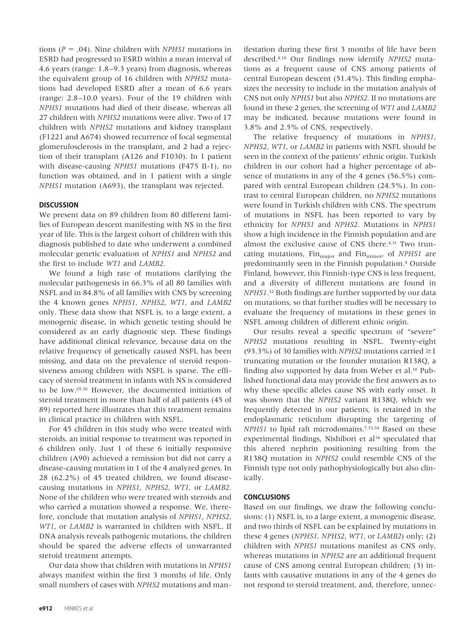tions  $(P = .04)$ . Nine children with *NPHS1* mutations in ESRD had progressed to ESRD within a mean interval of 4.6 years (range: 1.8 –9.3 years) from diagnosis, whereas the equivalent group of 16 children with *NPHS2* mutations had developed ESRD after a mean of 6.6 years (range: 2.8 –10.0 years). Four of the 19 children with *NPHS1* mutations had died of their disease, whereas all 27 children with *NPHS2* mutations were alive. Two of 17 children with *NPHS2* mutations and kidney transplant (F1221 and A674) showed recurrence of focal segmental glomerulosclerosis in the transplant, and 2 had a rejection of their transplant (A126 and F1030). In 1 patient with disease-causing *NPHS1* mutations (F475 II-1), no function was obtained, and in 1 patient with a single *NPHS1* mutation (A693), the transplant was rejected.

# **DISCUSSION**

We present data on 89 children from 80 different families of European descent manifesting with NS in the first year of life. This is the largest cohort of children with this diagnosis published to date who underwent a combined molecular genetic evaluation of *NPHS1* and *NPHS2* and the first to include *WT1* and *LAMB2*.

We found a high rate of mutations clarifying the molecular pathogenesis in 66.3% of all 80 families with NSFL and in 84.8% of all families with CNS by screening the 4 known genes *NPHS1*, *NPHS2*, *WT1*, and *LAMB2* only. These data show that NSFL is, to a large extent, a monogenic disease, in which genetic testing should be considered as an early diagnostic step. These findings have additional clinical relevance, because data on the relative frequency of genetically caused NSFL has been missing, and data on the prevalence of steroid responsiveness among children with NSFL is sparse. The efficacy of steroid treatment in infants with NS is considered to be low.29,30 However, the documented initiation of steroid treatment in more than half of all patients (45 of 89) reported here illustrates that this treatment remains in clinical practice in children with NSFL.

For 45 children in this study who were treated with steroids, an initial response to treatment was reported in 6 children only. Just 1 of these 6 initially responsive children (A90) achieved a remission but did not carry a disease-causing mutation in 1 of the 4 analyzed genes. In 28 (62.2%) of 45 treated children, we found diseasecausing mutations in *NPHS1*, *NPHS2*, *WT1*, or *LAMB2*. None of the children who were treated with steroids and who carried a mutation showed a response. We, therefore, conclude that mutation analysis of *NPHS1*, *NPHS2*, *WT1*, or *LAMB2* is warranted in children with NSFL. If DNA analysis reveals pathogenic mutations, the children should be spared the adverse effects of unwarranted steroid treatment attempts.

Our data show that children with mutations in *NPHS1* always manifest within the first 3 months of life. Only small numbers of cases with *NPHS2* mutations and manifestation during these first 3 months of life have been described.8,10 Our findings now identify *NPHS2* mutations as a frequent cause of CNS among patients of central European descent (51.4%). This finding emphasizes the necessity to include in the mutation analysis of CNS not only *NPHS1* but also *NPHS2.* If no mutations are found in these 2 genes, the screening of *WT1* and *LAMB2* may be indicated, because mutations were found in 3.8% and 2.5% of CNS, respectively.

The relative frequency of mutations in *NPHS1*, *NPHS2*, *WT1*, or *LAMB2* in patients with NSFL should be seen in the context of the patients' ethnic origin. Turkish children in our cohort had a higher percentage of absence of mutations in any of the 4 genes (56.5%) compared with central European children (24.5%). In contrast to central European children, no *NPHS2* mutations were found in Turkish children with CNS. The spectrum of mutations in NSFL has been reported to vary by ethnicity for *NPHS1* and *NPHS2*. Mutations in *NPHS1* show a high incidence in the Finnish population and are almost the exclusive cause of CNS there.4,31 Two truncating mutations, Fin<sub>major</sub> and Fin<sub>minor</sub>, of *NPHS1* are predominantly seen in the Finnish population.4 Outside Finland, however, this Finnish-type CNS is less frequent, and a diversity of different mutations are found in *NPHS1*.32 Both findings are further supported by our data on mutations, so that further studies will be necessary to evaluate the frequency of mutations in these genes in NSFL among children of different ethnic origin.

Our results reveal a specific spectrum of "severe" *NPHS2* mutations resulting in NSFL. Twenty-eight (93.3%) of 30 families with *NPHS2* mutations carried  $\geq$ 1 truncating mutation or the founder mutation R138Q, a finding also supported by data from Weber et al.<sup>10</sup> Published functional data may provide the first answers as to why these specific alleles cause NS with early onset. It was shown that the *NPHS2* variant R138Q, which we frequently detected in our patients, is retained in the endoplasmatic reticulum disrupting the targeting of *NPHS1* to lipid raft microdomains.7,33,34 Based on these experimental findings, Nishibori et al<sup>34</sup> speculated that this altered nephrin positioning resulting from the R138Q mutation in *NPHS2* could resemble CNS of the Finnish type not only pathophysiologically but also clinically.

# **CONCLUSIONS**

Based on our findings, we draw the following conclusions: (1) NSFL is, to a large extent, a monogenic disease, and two thirds of NSFL can be explained by mutations in these 4 genes (*NPHS1*, *NPHS2*, *WT1*, or *LAMB2*) only; (2) children with *NPHS1* mutations manifest as CNS only, whereas mutations in *NPHS2* are an additional frequent cause of CNS among central European children; (3) infants with causative mutations in any of the 4 genes do not respond to steroid treatment, and, therefore, unnec-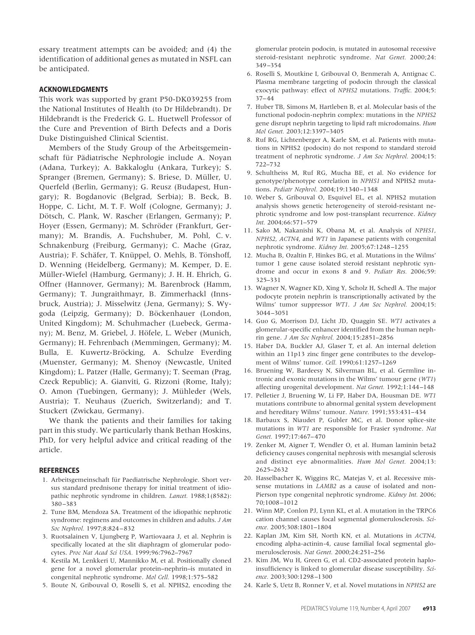essary treatment attempts can be avoided; and (4) the identification of additional genes as mutated in NSFL can be anticipated.

## **ACKNOWLEDGMENTS**

This work was supported by grant P50-DK039255 from the National Institutes of Health (to Dr Hildebrandt). Dr Hildebrandt is the Frederick G. L. Huetwell Professor of the Cure and Prevention of Birth Defects and a Doris Duke Distinguished Clinical Scientist.

Members of the Study Group of the Arbeitsgemeinschaft für Pädiatrische Nephrologie include A. Noyan (Adana, Turkey); A. Bakkaloglu (Ankara, Turkey); S. Spranger (Bremen, Germany); S. Briese, D. Müller, U. Querfeld (Berlin, Germany); G. Reusz (Budapest, Hungary); R. Bogdanovic (Belgrad, Serbia); B. Beck, B. Hoppe, C. Licht, M. T. F. Wolf (Cologne, Germany); J. Dötsch, C. Plank, W. Rascher (Erlangen, Germany); P. Hoyer (Essen, Germany); M. Schröder (Frankfurt, Germany); M. Brandis, A. Fuchshuber, M. Pohl, C. v. Schnakenburg (Freiburg, Germany); C. Mache (Graz, Austria); F. Schäfer, T. Knüppel, O. Mehls, B. Tönshoff, D. Wenning (Heidelberg, Germany); M. Kemper, D. E. Müller-Wiefel (Hamburg, Germany); J. H. H. Ehrich, G. Offner (Hannover, Germany); M. Barenbrock (Hamm, Germany); T. Jungraithmayr, B. Zimmerhackl (Innsbruck, Austria); J. Misselwitz (Jena, Germany); S. Wygoda (Leipzig, Germany); D. Böckenhauer (London, United Kingdom); M. Schuhmacher (Luebeck, Germany); M. Benz, M. Griebel, J. Höfele, L. Weber (Munich, Germany); H. Fehrenbach (Memmingen, Germany); M. Bulla, E. Kuwertz-Bröcking, A. Schulze Everding (Muenster, Germany); M. Shenoy (Newcastle, United Kingdom); L. Patzer (Halle, Germany); T. Seeman (Prag, Czeck Republic); A. Gianviti, G. Rizzoni (Rome, Italy); O. Amon (Tuebingen, Germany); J. Mühleder (Wels, Austria); T. Neuhaus (Zuerich, Switzerland); and T. Stuckert (Zwickau, Germany).

We thank the patients and their families for taking part in this study. We particularly thank Bethan Hoskins, PhD, for very helpful advice and critical reading of the article.

#### **REFERENCES**

- 1. Arbeitsgemeinschaft für Paediatrische Nephrologie. Short versus standard prednisone therapy for initial treatment of idiopathic nephrotic syndrome in children. *Lancet.* 1988;1(8582): 380 –383
- 2. Tune BM, Mendoza SA. Treatment of the idiopathic nephrotic syndrome: regimens and outcomes in children and adults. *J Am Soc Nephrol.* 1997;8:824 – 832
- 3. Ruotsalainen V, Ljungberg P, Wartiovaara J, et al. Nephrin is specifically located at the slit diaphragm of glomerular podocytes. *Proc Nat Acad Sci USA.* 1999;96:7962–7967
- 4. Kestila M, Lenkkeri U, Mannikko M, et al. Positionally cloned gene for a novel glomerular protein–nephrin–is mutated in congenital nephrotic syndrome. *Mol Cell.* 1998;1:575–582
- 5. Boute N, Gribouval O, Roselli S, et al. NPHS2, encoding the

glomerular protein podocin, is mutated in autosomal recessive steroid-resistant nephrotic syndrome. *Nat Genet.* 2000;24: 349 –354

- 6. Roselli S, Moutkine I, Gribouval O, Benmerah A, Antignac C. Plasma membrane targeting of podocin through the classical exocytic pathway: effect of *NPHS2* mutations. *Traffic.* 2004;5: 37– 44
- 7. Huber TB, Simons M, Hartleben B, et al. Molecular basis of the functional podocin-nephrin complex: mutations in the *NPHS2* gene disrupt nephrin targeting to lipid raft microdomains. *Hum Mol Genet.* 2003;12:3397–3405
- 8. Ruf RG, Lichtenberger A, Karle SM, et al. Patients with mutations in NPHS2 (podocin) do not respond to standard steroid treatment of nephrotic syndrome. *J Am Soc Nephrol.* 2004;15: 722–732
- 9. Schultheiss M, Ruf RG, Mucha BE, et al. No evidence for genotype/phenotype correlation in *NPHS1* and NPHS2 mutations. *Pediatr Nephrol.* 2004;19:1340 –1348
- 10. Weber S, Gribouval O, Esquivel EL, et al. NPHS2 mutation analysis shows genetic heterogeneity of steroid-resistant nephrotic syndrome and low post-transplant recurrence. *Kidney Int.* 2004;66:571–579
- 11. Sako M, Nakanishi K, Obana M, et al. Analysis of *NPHS1*, *NPHS2*, *ACTN4*, and *WT1* in Japanese patients with congenital nephrotic syndrome. *Kidney Int.* 2005;67:1248 –1255
- 12. Mucha B, Ozaltin F, Hinkes BG, et al. Mutations in the Wilms' tumor 1 gene cause isolated steroid resistant nephrotic syndrome and occur in exons 8 and 9. *Pediatr Res.* 2006;59: 325–331
- 13. Wagner N, Wagner KD, Xing Y, Scholz H, Schedl A. The major podocyte protein nephrin is transcriptionally activated by the Wilms' tumor suppressor *WT1*. *J Am Soc Nephrol.* 2004;15: 3044 –3051
- 14. Guo G, Morrison DJ, Licht JD, Quaggin SE. *WT1* activates a glomerular-specific enhancer identified from the human nephrin gene. *J Am Soc Nephrol.* 2004;15:2851–2856
- 15. Haber DA, Buckler AJ, Glaser T, et al. An internal deletion within an 11p13 zinc finger gene contributes to the development of Wilms' tumor. *Cell.* 1990;61:1257–1269
- 16. Bruening W, Bardeesy N, Silverman BL, et al. Germline intronic and exonic mutations in the Wilms' tumour gene (*WT1*) affecting urogenital development. *Nat Genet.* 1992;1:144 –148
- 17. Pelletier J, Bruening W, Li FP, Haber DA, Housman DE. *WT1* mutations contribute to abnormal genital system development and hereditary Wilms' tumour. *Nature.* 1991;353:431– 434
- 18. Barbaux S, Niaudet P, Gubler MC, et al. Donor splice-site mutations in *WT1* are responsible for Frasier syndrome. *Nat Genet.* 1997;17:467– 470
- 19. Zenker M, Aigner T, Wendler O, et al. Human laminin beta2 deficiency causes congenital nephrosis with mesangial sclerosis and distinct eye abnormalities. *Hum Mol Genet.* 2004;13: 2625–2632
- 20. Hasselbacher K, Wiggins RC, Matejas V, et al. Recessive missense mutations in *LAMB2* as a cause of isolated and non-Pierson type congenital nephrotic syndrome. *Kidney Int.* 2006; 70;1008 –1012
- 21. Winn MP, Conlon PJ, Lynn KL, et al. A mutation in the TRPC6 cation channel causes focal segmental glomerulosclerosis. *Science.* 2005;308:1801–1804
- 22. Kaplan JM, Kim SH, North KN, et al. Mutations in *ACTN4*, encoding alpha-actinin-4, cause familial focal segmental glomerulosclerosis. *Nat Genet.* 2000;24:251–256
- 23. Kim JM, Wu H, Green G, et al. CD2-associated protein haploinsufficiency is linked to glomerular disease susceptibility. *Science.* 2003;300:1298 –1300
- 24. Karle S, Uetz B, Ronner V, et al. Novel mutations in *NPHS2* are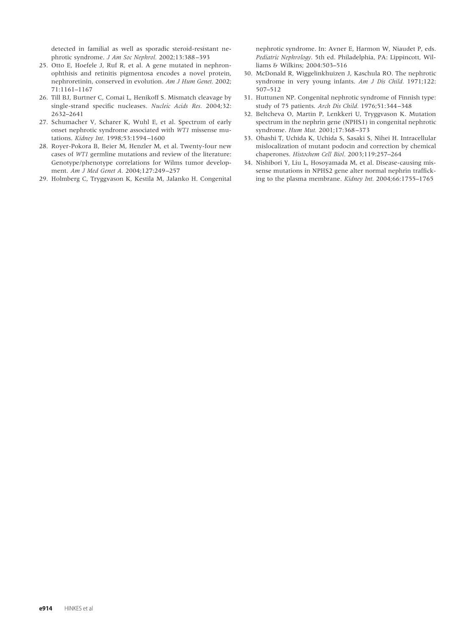detected in familial as well as sporadic steroid-resistant nephrotic syndrome. *J Am Soc Nephrol.* 2002;13:388 –393

- 25. Otto E, Hoefele J, Ruf R, et al. A gene mutated in nephronophthisis and retinitis pigmentosa encodes a novel protein, nephroretinin, conserved in evolution. *Am J Hum Genet.* 2002; 71:1161–1167
- 26. Till BJ, Burtner C, Comai L, Henikoff S. Mismatch cleavage by single-strand specific nucleases. *Nucleic Acids Res.* 2004;32: 2632–2641
- 27. Schumacher V, Scharer K, Wuhl E, et al. Spectrum of early onset nephrotic syndrome associated with *WT1* missense mutations. *Kidney Int.* 1998;53:1594 –1600
- 28. Royer-Pokora B, Beier M, Henzler M, et al. Twenty-four new cases of *WT1* germline mutations and review of the literature: Genotype/phenotype correlations for Wilms tumor development. *Am J Med Genet A.* 2004;127:249 –257
- 29. Holmberg C, Tryggvason K, Kestila M, Jalanko H. Congenital

nephrotic syndrome. In: Avner E, Harmon W, Niaudet P, eds. *Pediatric Nephrology*. 5th ed. Philadelphia, PA: Lippincott, Williams & Wilkins; 2004:503–516

- 30. McDonald R, Wiggelinkhuizen J, Kaschula RO. The nephrotic syndrome in very young infants. *Am J Dis Child.* 1971;122: 507–512
- 31. Huttunen NP. Congenital nephrotic syndrome of Finnish type: study of 75 patients. *Arch Dis Child.* 1976;51:344 –348
- 32. Beltcheva O, Martin P, Lenkkeri U, Tryggvason K. Mutation spectrum in the nephrin gene (NPHS1) in congenital nephrotic syndrome. *Hum Mut.* 2001;17:368 –373
- 33. Ohashi T, Uchida K, Uchida S, Sasaki S, Nihei H. Intracellular mislocalization of mutant podocin and correction by chemical chaperones. *Histochem Cell Biol.* 2003;119:257–264
- 34. Nishibori Y, Liu L, Hosoyamada M, et al. Disease-causing missense mutations in NPHS2 gene alter normal nephrin trafficking to the plasma membrane. *Kidney Int.* 2004;66:1755–1765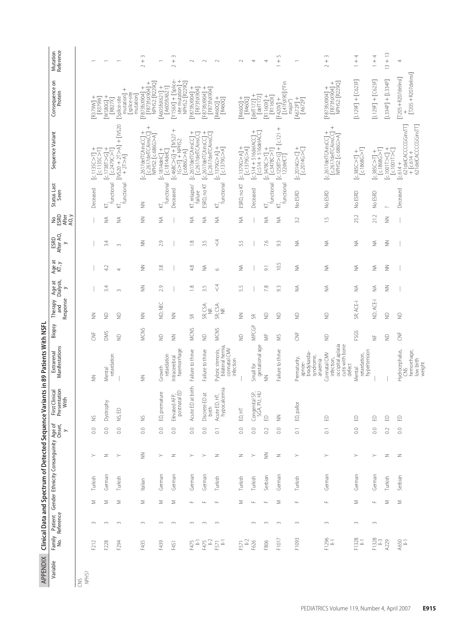| APPENDIX   |                  |        |                  |         | Clinical Data and Spectrum of Detected Sequence Va         |                    |                                                    | riants in 89 Patients With NSFL                                              |                |                            |                                      |                    |                           |                               |                               |                                                                                                                             |                                                                                                                                                                                                                                                                                                                                                                                                                                                                                                                                                                              |                                            |
|------------|------------------|--------|------------------|---------|------------------------------------------------------------|--------------------|----------------------------------------------------|------------------------------------------------------------------------------|----------------|----------------------------|--------------------------------------|--------------------|---------------------------|-------------------------------|-------------------------------|-----------------------------------------------------------------------------------------------------------------------------|------------------------------------------------------------------------------------------------------------------------------------------------------------------------------------------------------------------------------------------------------------------------------------------------------------------------------------------------------------------------------------------------------------------------------------------------------------------------------------------------------------------------------------------------------------------------------|--------------------------------------------|
| Variable   | Family<br>No.    |        |                  |         | Patient Gender Ethnicity Consanguinity Age of<br>Reference | $\geq$             | First Clinical<br>Presentation<br>Clinical<br>With | Manifestations<br>Extrarenal                                                 | Biopsy         | Response<br>Therapy<br>and | Age at<br>Dialysis,<br>$\rightarrow$ | Age at<br>KT, y    | ESRD<br>After AO,<br>$\!$ | <b>SERD</b><br>SERET<br>AC, y | Status Last<br>Seen           | Sequence Variant                                                                                                            | Consequence on<br>Protein                                                                                                                                                                                                                                                                                                                                                                                                                                                                                                                                                    | Mutation<br>Reference                      |
| NPHS1<br>š |                  |        |                  |         |                                                            |                    |                                                    |                                                                              |                |                            |                                      |                    |                           |                               |                               |                                                                                                                             |                                                                                                                                                                                                                                                                                                                                                                                                                                                                                                                                                                              |                                            |
|            | F212             | $\sim$ | Σ                | Turkish | $\succ$                                                    | $_{\odot}$         | $\gtrapprox$                                       | $\leq$                                                                       | ž              | $\leqq$                    |                                      |                    |                           |                               | Deceased                      | $\begin{array}{c} \text{[c.1135C>1]} + \\ \text{[c.1135C>1]} \end{array}$                                                   | $\begin{array}{c} \mathrm{[R379W]} + \\ \mathrm{[R379W]} \end{array}$                                                                                                                                                                                                                                                                                                                                                                                                                                                                                                        |                                            |
|            | F228             | $\sim$ | Σ                | German  | $\geq$                                                     | 0.0                | Dystrophy                                          | retardation<br>Mental                                                        | <b>DMS</b>     | $\supseteq$                | 3.4                                  | 42                 | 3.4                       | ≨                             | functional<br>⊵               | $\frac{[c.17387 > 6]}{[c.2479C > 7]}$                                                                                       | M580G] +<br>$[8827]$                                                                                                                                                                                                                                                                                                                                                                                                                                                                                                                                                         |                                            |
|            | F294             | $\sim$ | Σ                | Turkish | $\succ$                                                    | $_{\odot}$         | NS, ED                                             |                                                                              | $\frac{1}{2}$  | $\supseteq$                | $\infty$                             | 4                  | $\infty$                  | ≨                             | $\overline{K_{I}}$ functional | $[NS20 + 2T > A] + [NS20 + 2T > A]$                                                                                         | $mutation$ ] +<br>[splice-site<br>mutation<br>[Splice-site                                                                                                                                                                                                                                                                                                                                                                                                                                                                                                                   |                                            |
|            | F435             | $\sim$ | Σ                | Italian | $\leqq$                                                    | 0.0                | ž                                                  | $\leq$                                                                       | MCNS           | $\leqq$                    | $\leqq$                              | $\frac{2}{2}$      | $\frac{2}{2}$             | $\leq$                        | $\leqq$                       | $^{+}$<br>J<br>[c2617delTCAinsCC<br>NPHS2: [c.686G>A]<br>[c.2617delTCAinsCC]                                                | [F873fsX904] +<br>NPHS2: [R229Q]<br>$[F873f5X904] +$                                                                                                                                                                                                                                                                                                                                                                                                                                                                                                                         | $\sim$<br>$^{+}$<br>$\sim$                 |
|            | F439             | $\sim$ | Σ                | German  | $\succ$                                                    | 0.0                | ED, premature                                      | retardation<br>Growth                                                        | $\supseteq$    | ND; NEC                    | 2.9                                  | 3.8                | 2.9                       | ≨                             | functional<br>⊵               | $[c.1814delC] + [c.1814delC]$                                                                                               | $[A605f5X621] +$<br>$[A605f5X6\bar{2}1]$                                                                                                                                                                                                                                                                                                                                                                                                                                                                                                                                     |                                            |
|            | F451             | $\sim$ | Σ                | German  | $\geq$                                                     | $_{\odot}$         | Elevated AFP,<br>postnatal ED                      | haemorrhage<br>Intracerebral                                                 | $\leq$         | $\leqq$                    |                                      |                    |                           |                               | Deceased                      | $^{+}$<br>$[0.468C > G] + [0.927]$<br>$[0.69C = G] + [0.927]$<br>$[c.686G > A]$                                             | $^{+}$<br>$[N156X] + [Splice-$<br>NPHS2: [R229Q]<br>site mutation                                                                                                                                                                                                                                                                                                                                                                                                                                                                                                            | $\sim$<br>$^{+}$<br>$\sim$                 |
|            | F475<br>  -      | $\sim$ | $\sqcup$         | German  | $\succ$                                                    | $\overline{0.0}$   | <b>Dat birth</b><br>Acute El                       | Failure to thrive                                                            | MCNS           | S                          | $\approx$                            | 4.8                | $\frac{8}{18}$            | ≨                             | KT, relapse/<br>failure       | $[c.2617delTCAinSC]$ +<br>c.2617delTCAinsCC]                                                                                | F873fsX904] +<br>$[FS73f$ s $X904]$                                                                                                                                                                                                                                                                                                                                                                                                                                                                                                                                          | $\sim$                                     |
|            | F475<br>11-2     | $\sim$ | $\frac{1}{2}$    | German  | $\succ$                                                    | $_{\odot}$         | Discrete ED at<br>birth                            | Failure to thrive                                                            | $\supseteq$    | SR; CSA:<br>NR             | 3.5                                  | ⋚                  | 3.5                       | ⋚                             | ESRD, no KT                   | $[c2617delTChinSC]$ +<br>c.2617delTCAinsCC]                                                                                 | $F873f58904$ +<br>$[F873f5X904]$                                                                                                                                                                                                                                                                                                                                                                                                                                                                                                                                             | $\sim$                                     |
|            | $\frac{1}{2}$    | $\sim$ | $\sqcup\!\sqcup$ | Turkish | Z                                                          | $\overline{C}$     | hypocalcemia<br>Acute ED, HT,                      | bilateral hernia,<br>connatal CMV<br>Pyloric stenosis,<br>infection          | <b>MCNS</b>    | SR; CSA:<br>NR             | $\sqrt{2}$                           | $\circ$            | $\sqrt{2}$                | ≨                             | tunctional<br>⋤               | $\begin{array}{c} \text{[c.1379G>Al} \ + \\ \text{[c.1379G>Al}] \end{array}$                                                | $[R460Q] +$<br>$[RA60Q]$                                                                                                                                                                                                                                                                                                                                                                                                                                                                                                                                                     | $\sim$                                     |
|            | F571<br>II-2     |        | Σ                | Turkish | Z                                                          | $\overline{0.0}$   | ED, HT                                             |                                                                              | $\supseteq$    | $\leqq$                    | 55                                   | ≨                  | 55                        | ≨                             | ESRD, no KT                   | $\begin{array}{c} \text{[c.1379G>Al} \ + \\ \text{[c.1379G>Al}] \end{array}$                                                | $[R460Q] +$<br><b>R460Q</b>                                                                                                                                                                                                                                                                                                                                                                                                                                                                                                                                                  | $\sim$                                     |
|            | F626             | $\sim$ | Щ                | Turkish | $\succ$                                                    | 0.0                | Congenital SP,<br>SGA, PU, HU                      | gestational age<br>Small for                                                 | <b>MPCGP</b>   | Ж                          |                                      |                    |                           |                               | Deceased                      | $^{+}$<br>$\begin{array}{c} \texttt{[c.514 + 516delACC]} + \texttt{[c.514 + 516delACC]} \end{array}$                        | $^{+}$<br>$[defT172] \centering% \includegraphics[width=1\textwidth]{Figures/PG120022_16.pdf} \includegraphics[width=1\textwidth]{Figures/PG12002_16.pdf} \includegraphics[width=1\textwidth]{Figures/PG12002_16.pdf} \includegraphics[width=1\textwidth]{Figures/PG12002_16.pdf} \includegraphics[width=1\textwidth]{Figures/PG12002_16.pdf} \includegraphics[width=1\textwidth]{Figures/PG12002_16.pdf} \includegraphics[width=1\textwidth]{Figures/PG12002_16.pdf} \includegraphics[width=1\textwidth]{Figures/PG12002_16.pdf} \includegraphics[width=1\$<br>[ $de[T172]$ | 4                                          |
|            | F806             | $\sim$ | $\sqcup$         | Serbian | $\leqq$                                                    | $\overline{0}$     | $\ominus$                                          | $\leqq$                                                                      | $\geqq$        | $\frac{1}{2}$              | 7.8                                  | $\overline{\circ}$ | 7.6                       | ≨                             | functional<br>⊵               | $\frac{[c3478C>1]}{[c3478C>1]} +$                                                                                           | $\begin{array}{c} \text{[R1160X]} + \\ \text{[R1160X]} \end{array}$                                                                                                                                                                                                                                                                                                                                                                                                                                                                                                          | 4                                          |
|            | F1017            | $\sim$ | Σ                | German  | $\geq$                                                     | $_{\odot}$         | $\leqq$                                            | Failure to thrive                                                            | š              | $\supseteq$                | $\Im$                                | 10.5               | 93                        | ⋚                             | functional<br>⋤               | $^{+}$<br>$[c.12587 > G] + [c.121$<br>122delCT]                                                                             | [F420V] +<br>[L41fsX90] ("Fin<br>major")                                                                                                                                                                                                                                                                                                                                                                                                                                                                                                                                     | $\mathsf{L}\cap$                           |
|            | F1093            | $\sim$ | $\sqcup\!\sqcup$ | Turkish | $\succ$                                                    | $\overline{\circ}$ | $\overline{\circ}$<br>ED, pall                     | bradykardia-<br>syndrome,<br>Prematurity,<br>anaemia<br>apnoe-               | <b>SP</b>      | $\supseteq$                | $\lessgtr$                           | ⋚                  | ≨                         | 3.2                           | No ESRD                       | $\frac{[-2014G>}{12014G>]}$                                                                                                 | $[AGZP] +$<br>$[AGZP]$                                                                                                                                                                                                                                                                                                                                                                                                                                                                                                                                                       |                                            |
|            | F1296            | $\sim$ | Щ                | German  | $\succ$                                                    | $\overline{0}$ .   | £                                                  | occipital aplasia<br>cutis with bone<br>Connatal CMV<br>intection,<br>defect | $\supseteq$    | $\supseteq$                | ⋚                                    | ₹                  | ₹                         | $\frac{5}{1}$                 | No ESRD                       | $\begin{array}{l} \texttt{[c.2617defICAinsC]} + \\ \texttt{[c.2617defICAinsC]} + \\ \texttt{NPHS2: [c.886G>A]} \end{array}$ | [F873fsX904] +<br>[F873fsX904] +<br>NPHS2: [R229Q]                                                                                                                                                                                                                                                                                                                                                                                                                                                                                                                           | $\sim$<br>$^{+}$<br>$\sim$                 |
|            | F1328            | $\sim$ | ⋝                | German  | $\succ$                                                    | $\overline{0.0}$   | £                                                  | hypertension<br>retardation,<br>Mental                                       | FSGS           | SR; ACE-I                  | ≨                                    | ≨                  | ≨                         | 25.2                          | No ESRD                       | $[c.1868G>1]$<br>$[c.385C>]] +$                                                                                             | $[1129F] + [623F]$                                                                                                                                                                                                                                                                                                                                                                                                                                                                                                                                                           | 4<br>$\! + \!$                             |
|            | $F1328$<br>$H-3$ | $\sim$ | Щ                | German  | $\succ$                                                    | $_{\odot}$         | €                                                  |                                                                              | $\overline{z}$ | ND; ACE-I                  | ≨                                    | ≨                  | ≨                         | 21.2                          | No ESRD                       | [c.1868G > T]<br>$^{+}$<br>$[c385C>7]$                                                                                      | $[1129F] + [C623F]$                                                                                                                                                                                                                                                                                                                                                                                                                                                                                                                                                          | 4<br>$\! + \!$<br>$\overline{\phantom{0}}$ |
|            | A229             |        | Σ                | Turkish | $\geq$                                                     | $\overline{0}$     | $\Omega$                                           |                                                                              | $\supseteq$    | $\supseteq$                | $\geqq$                              | $\geqq$            | $\geqq$                   | $\geqq$                       | $\sim$                        | $[c1001T>CI +$<br>$c10011>$ C                                                                                               | $[L334P] + [L334P]$                                                                                                                                                                                                                                                                                                                                                                                                                                                                                                                                                          | $+13$<br>$\widetilde{\Xi}$                 |
|            | A650             |        | Σ                | Serbian | $\geq$                                                     | $_{\odot}$         | £                                                  | Hydrocephalus,<br>hemorrhage,<br>low birth<br>weight<br>š                    | ž              | $\supseteq$                |                                      |                    |                           |                               | Deceased                      | 621 del CACCCGGinsTT<br>+ [c.614 +<br>621delCACCCGGinsTT]<br>$[c.614 +$                                                     | $[T205 + R207$ delins<br>$[T205 + R207$ delinsl]                                                                                                                                                                                                                                                                                                                                                                                                                                                                                                                             | 4                                          |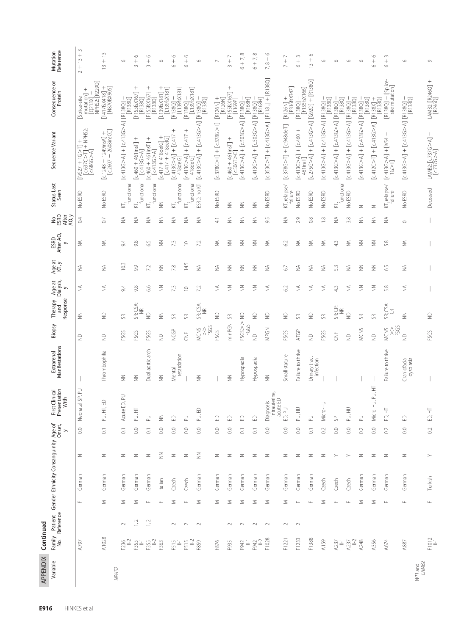| APPENDIX         | Continued        |                         |                          |                                                 |                       |                                        |                              |                          |                              |                               |                 |                             |                               |                         |                                                                                                               |                                                                     |                                    |
|------------------|------------------|-------------------------|--------------------------|-------------------------------------------------|-----------------------|----------------------------------------|------------------------------|--------------------------|------------------------------|-------------------------------|-----------------|-----------------------------|-------------------------------|-------------------------|---------------------------------------------------------------------------------------------------------------|---------------------------------------------------------------------|------------------------------------|
| Variable         | Family<br>No.    | r Patient<br>Reference  |                          | Gender Ethnicity Consanguinity Age of<br>Onset, | $\rightarrow$         | First Clinical<br>Presentation<br>With | Manifestations<br>Extrarenal | Biopsy                   | Response<br>Therapy<br>and   | Age at<br>Dialysis,<br>$\geq$ | Age at<br>KT, y | ESRD<br>After AO,<br>$\geq$ | <b>Neger</b><br>SESP<br>AO, y | Status Last<br>Seen     | Sequence Variant                                                                                              | Consequence on<br>Protein                                           | Mutation<br>Reference              |
|                  | A797             |                         | German<br>$\sqcup$       | $\geq$                                          | $_{\odot}$            | Neonatal SP, PU                        |                              | $\supseteq$              | $\leqq$                      | ₹                             | ₹               | ₹                           | $\sim$                        | No ESRD                 | $\begin{array}{l} \text{[NS27 + 1G>1]} + \\ \text{[c637C>1]} + \text{NPHS2:} \\ \text{[c686G>Å]} \end{array}$ | [Q213X] +<br>NPHS2: [R229Q]<br>$mutation] +$<br>Splice-site         | $\infty$<br>$+13$<br>$\sim$        |
|                  | A1028            |                         | German<br>Σ              | Z                                               | $\overline{C}$        | £<br>PU, HT,                           | Thrombophilia                | $\supseteq$              | $\supseteq$                  | ₹                             | ₹               | ₹                           | $\overline{0}$                | No ESRD                 | $[c.1248 + 1249$ insA] +<br>$[c.2607 + 2608$ insCC]                                                           | $[141763418] +$<br>$[187063905]$                                    | $\tilde{=}$<br>$^{+}$<br>$\approx$ |
| NPHS2            | F236<br>II-2     | ⋝<br>$\sim$             | German                   | Z                                               | $\overline{C}$        | Acute ED, PU                           | $\leqq$                      | FSGS                     | æ                            | 9.4                           | 10.3            | 94                          | ≨                             | functional<br>₫         | [c413G>A] + [c413G>A] [R138Q]<br>[p380]                                                                       |                                                                     | $\circ$                            |
|                  | $F355$           | 1,2                     | German<br>Σ              | $\geq$                                          | $_{\odot}$            | PU, HT                                 | $\leq$                       | FSGS                     | SR; CSA:<br>NR               | 9.8                           | 9.9             | 9.8                         | ≨                             | functional<br>₫         | $[c.460 + 461$ ins T] +<br>$[c.413G > A]$                                                                     | $[FIGSf5X167] +$<br>$[RI38Q]$                                       | $\circ$<br>$^{+}$<br>$\sim$        |
|                  | $F355$<br>$H-2$  | Щ<br>1,2                | German                   | Z                                               | $\overline{\text{C}}$ | $\geq$                                 | Dual aortic arch             | FSGS                     | g                            | 6.6                           | 72              | 55                          | ≨                             | KT,<br>functional       | $[c.460 + 461$ insT] +<br>$[c.413G > A]$                                                                      | $[FIGSf5X167] +$<br>$[RI38Q]$                                       | $\circ$<br>$\frac{+}{\infty}$      |
|                  | F363             |                         | Italian<br>$\frac{1}{2}$ | $\leqq$                                         | $_{\odot}$            | $\leq$                                 | $\leqq$                      | $\supseteq$              | $\leqq$                      | $\frac{2}{2}$                 | $\leq$          | $\geqq$                     | $\frac{2}{2}$                 | $\geqq$                 | $417 + 418$ delG] +<br>[c.417 + 418delG]<br>$[c.417 + 418$ delG                                               | $[1396x181] +$<br>[L139fsX181]                                      | $\circ$                            |
|                  | $\frac{15}{15}$  | $\sim$                  | Czech<br>Σ               | Z                                               | $_{\odot}$            | £                                      | retardation<br>Mental        | <b>NCGP</b>              | "                            | 73                            | $7.8$           | 73                          | ≨                             | functional<br>⊵         | $^{+}$<br>$[c.413G > A] + [c.417$<br>418delG]                                                                 | $\frac{[R138Q]+}{[L1396X181]}$                                      | $\circ$<br>$\circ$                 |
|                  | $F515$<br>$H-2$  | $\frac{1}{2}$<br>$\sim$ | Czech                    | $\geq$                                          | $_{\odot}$            | $\geq$                                 |                              | 岂<br>                    | SR                           | $\supseteq$                   | 14.5            | $\supseteq$                 | ≨                             | functional<br>KĪ,       | $^{+}$<br>$[c.413G > A] + [c.417$<br>418delG]                                                                 | $[0.1380] +$<br>$[0.1396 \times 181]$                               | $\circ$<br>$\frac{+}{\circ}$       |
|                  | F859             | $\sim$                  | German<br>Σ              | $\leqq$                                         | $_{\odot}$            | PU, ED                                 | $\leq$                       | FSGS<br>MCNS<br>Λ        | SR; CSA:<br>NR               | 7.2                           | ₹               | 7.2                         | ⋚                             | ESRD, no KT             | [c413G>A] + [c413G>A] [R138Q]<br>[passe] [A<5) + [c413G>A]                                                    |                                                                     | $\circ$                            |
|                  | F876             |                         | German<br>Σ              | z                                               | $_{\odot}$            | €                                      |                              | FSGS                     | $\supseteq$                  | ₹                             | ₹               | ₹                           | $\stackrel{+}{\rightarrow}$   | No ESRD                 | $[c378G > T] + [c378G > T]$                                                                                   | $\begin{array}{c} \mathrm{[K126N]} \\ \mathrm{[K126N]} \end{array}$ | $\sim$                             |
|                  | F935             | $\sim$                  | German<br>⋝              | Z                                               | $_{\odot}$            | £                                      | $\leq$                       | minPGN                   | 56                           | $\leq$                        | $\frac{2}{2}$   | $\leqq$                     | $\leq$                        | $\leq$                  | $[0.460 + 461$ ins T] +<br>$[0.506$ T>C]                                                                      | $^{+}$<br>[F155fsX167]<br>[L169P]                                   | $3 + 7$                            |
|                  | F942             | $\sim$                  | German<br>Σ              | $\geq$                                          | $\overline{\circ}$    | £                                      | Hypospadia                   | FSGS>><br>FGGS           | $\supseteq$                  | $\leqq$                       | $\geqq$         | $\geqq$                     | $\frac{2}{2}$                 | $\leq$                  | 13818]<br> - [CAT3G>A] + [C503G>A] [R1380]<br> -                                                              |                                                                     | $\infty$<br>$6 + 7,$               |
|                  | $F942$ $H-2$     | $\sim$                  | German<br>Σ              | Z                                               | $\overline{\circ}$    | $\Omega$                               | Hypospadia                   | $\frac{1}{2}$            | $\supseteq$                  | $\frac{2}{2}$                 | $\leqq$         | $\geqq$                     | $\frac{2}{2}$                 | $\frac{2}{2}$           | + [O8E13] [A<br>>> [A<br>>> [R13G>A] [R13G>4]                                                                 | R168H                                                               | $+7,8$<br>$\circ$                  |
|                  | F1028            | $\sim$                  | German<br>Σ              | $\geq$                                          | $_{\odot}$            | intrauterine,<br>acute ED<br>Diagnosis | $\geqq$                      | MPGN                     | $\supseteq$                  | ⋚                             | ⋚               | ₹                           | 95                            | No ESRD                 | [c353C>T] + [c413G413 [A < 252 c52525]                                                                        |                                                                     | $\circ$<br>$7,8+$                  |
|                  | F1221            | $\sim$                  | German<br>Σ              | Z                                               | 0.0                   | ED, PU                                 | Small stature                | FSGS                     | $\supseteq$                  | 62                            | 67              | 62                          | ≨                             | KT, relapse/<br>failure | $[c.378G > T] + [c.948delT]$                                                                                  | [K126N] +<br>[P316fsX347]                                           | $^-$<br>$\overline{a}$             |
|                  | F1233            | Щ<br>$\sim$             | German                   | Z                                               | $_{\odot}$            | PU, HU                                 | Failure to thrive            | ATGP                     | æ                            | ₹                             | ⋚               | ≶                           | 2.9                           | No ESRD                 | $^{+}$<br>$[c.413G > A] + [c.460$<br>461 inst]                                                                | $[$ R138Q] +<br>$[$ F155fsX166]                                     | $\sim$<br>$\frac{+}{\circ}$        |
|                  | F1388            |                         | German<br>$\sqcup$       | $\geq$                                          | $\overline{\circ}$    | $\supseteq$                            | Urinary tract<br>infection   | $\supseteq$              | $\supseteq$                  | ≨                             | ₹               | ≨                           | $_{\odot}^{\otimes}$          | No ESRD                 | [c275G>A] + [c413G>A] [G92D] + [R138Q]                                                                        |                                                                     | $\circ$<br>$\frac{1}{2}$           |
|                  | A159             |                         | Czech<br>Σ               | Z                                               | 0.2                   | Micro-HU                               |                              | FSGS                     | "                            | ⋚                             | ≨               | ₹                           | $\frac{8}{10}$                | No ESRD                 | c413G>A] + [c413G>A] [R138Q] +                                                                                | $[RT38Q]$                                                           | $\circ$                            |
|                  | $A237$<br>$  -1$ | Щ                       | Czech                    | ≻                                               | $_{\odot}$            | ₿                                      |                              | 岂<br>                    | SR; CP:<br>$\widetilde{\Xi}$ | 43                            | 53              | 43                          | ≨                             | $KT$ ,<br>functional    | c413G>A] + [c413G>A] -                                                                                        | $[R1380]$                                                           | $\circ$                            |
|                  | $\equiv$<br>A237 |                         | Czech<br>$\sqcup$        | $\succ$                                         | $_{\odot}$            | PU, HU                                 |                              | $\supseteq$              | $\supseteq$                  | ₹                             | ≨               | ₹                           | 3.8                           | No ESRD                 | <br> 1880] [A<br>-> 14-02<br> 1980]   A<br>-> 14-02<br>                                                       |                                                                     | $\circ$                            |
|                  | A248             |                         | German<br>Σ              | $\geq$                                          | $\sim$                | $\geq$                                 |                              | MCNS                     | "                            | $\geqq$                       | $\frac{2}{2}$   | $\geqq$                     | $\frac{2}{2}$                 | z                       | [c413G>A] [k-03c1+]<br>[c380] [k-03c413G>] +                                                                  |                                                                     | $\circ$                            |
|                  | A356             |                         | German<br>Σ              | Z                                               | $_{\odot}$            | Micro-HU, PU, HT                       |                              | $\supseteq$              | æ                            | $\leqq$                       | $\leqq$         | $\geqq$                     | $\frac{2}{2}$                 | Z                       | $[c.412C>TI + [c.413G>A]$                                                                                     | $[0.881] +$<br>$[0.8138]$                                           | $\circ$<br>$\frac{+}{\circ}$       |
|                  | A674             | $\frac{1}{2}$           | German                   | $\geq$                                          | $\sim$                | ED, HT                                 | Failure to thrive            | FSGS<br><b>MCNS</b><br>Λ | CSA:<br>E<br>Š               | 5.8                           | 59              | 5.8                         | ≨                             | KT, relapse/<br>failure | $^{+}$<br>$[c413G>AI + [N54]$                                                                                 | $[R138Q] + [Splice-$<br>site mutation                               | $\sim$<br>$\circ$                  |
| WT1 and<br>LAMB2 | A887             |                         | German<br>$\sqcup$       | Z                                               | $_{\odot}$            | £                                      | dysplasia<br>Craniofacial    | $\supseteq$              | $\leqq$                      | ₹                             | ≨               | ₹                           | $\circ$                       | No ESRD                 | 08813 <br> 08813    A<5017-0  H<41360                                                                         |                                                                     | $\circ$                            |
|                  | F1012            |                         | Turkish<br>$\sqcup$      | ≻                                               | 0.2                   | ED, HT                                 |                              | FSGS                     | $\supseteq$                  |                               |                 |                             |                               | Deceased                | LAMB2: [c.737G>A] +<br>[c.737G>A]                                                                             | LAMB2: [R246Q] +<br>[R246Q]                                         | $\circ$                            |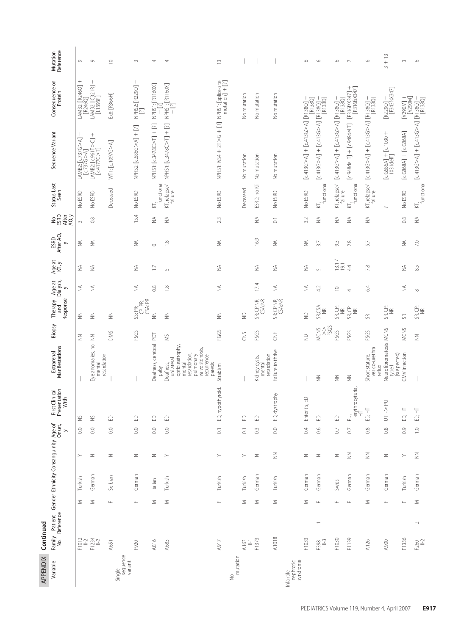| APPENDIX                           | Continued        |                |               |                                                                       |               |                          |                                                   |                                                                                                                              |                                                                                       |                                       |                                      |                             |                                       |                       |                                   |                                                                                                                                                                                                                             |                                                                             |                       |
|------------------------------------|------------------|----------------|---------------|-----------------------------------------------------------------------|---------------|--------------------------|---------------------------------------------------|------------------------------------------------------------------------------------------------------------------------------|---------------------------------------------------------------------------------------|---------------------------------------|--------------------------------------|-----------------------------|---------------------------------------|-----------------------|-----------------------------------|-----------------------------------------------------------------------------------------------------------------------------------------------------------------------------------------------------------------------------|-----------------------------------------------------------------------------|-----------------------|
| Variable                           |                  |                |               | Family Patient Gender Ethnicity Consanguinity Age of<br>No. Reference |               | $\overline{\phantom{0}}$ | Presentation<br>With<br>First Clinical<br>Present | Extrarenal<br>Manifestations                                                                                                 | Biopsy                                                                                | Response<br>Therapy<br>and            | Age at<br>Dialysis,<br>$\rightarrow$ | Age at<br>KT, y             | ESRD<br>After AO,<br>$\mathord{\sim}$ | <b>SERD</b><br>SEREFE | Status Last<br>Seen               | Sequence Variant                                                                                                                                                                                                            | Consequence on<br>Protein                                                   | Mutation<br>Reference |
|                                    | $F1012$<br>$H-2$ |                | Σ             | Turkish                                                               | ≻             | $\overline{0}$           | ž                                                 |                                                                                                                              | $\leqq$                                                                               | $\leqq$                               | ⋚                                    | ≨                           | ≨                                     | $\sim$                | No ESRD                           | $^{+}$<br>LAMB2: [c.737G>A]<br>c.737G > A                                                                                                                                                                                   | $^{+}$<br>LAMB2: [R246Q]<br>$[R246Q]$                                       | Ò                     |
|                                    | F1234<br>  -2    |                | Σ             | German                                                                | z             | $\overline{0.0}$         | $\stackrel{\small\smallsetminus}{\geq}$           | Eye anomalies, no<br>retardation<br>menta                                                                                    | $\leq$                                                                                | $\leqq$                               | ₹                                    | ₹                           | ₹                                     | $\frac{8}{2}$         | No ESRD                           | $^{+}$<br>LAMB2: [c.961T>C]<br>$[c.4177C>1]$                                                                                                                                                                                | $^{+}$<br>LAMB2: [C321R] -<br>[L1393F]                                      | $\circlearrowright$   |
| Single                             | A651             |                | $\sqcup$      | Serbian                                                               | Z             | $\overline{0.0}$         | $\ominus$                                         |                                                                                                                              | <b>DMS</b>                                                                            | $\leqq$                               |                                      |                             |                                       |                       | Deceased                          | WT1: [c.1097G>A]                                                                                                                                                                                                            | Ex8: [R366H]                                                                | $\supseteq$           |
| sequence<br>variant                |                  |                |               |                                                                       |               |                          |                                                   |                                                                                                                              |                                                                                       |                                       |                                      |                             |                                       |                       |                                   |                                                                                                                                                                                                                             |                                                                             |                       |
|                                    | F920             |                | Щ             | German                                                                | Z             | $\overline{0.0}$         | $\footnotesize\ensuremath{\boxdot}$               |                                                                                                                              | FSGS                                                                                  | SS: PR;<br>CP: PR;<br>CSA: PR         | ≨                                    | ≨                           | ⋚                                     | 15.4                  | No ESRD                           | NPHS2: [c.686G>A] + [?]                                                                                                                                                                                                     | NPHS2: [R229Q] +<br>[?]                                                     | $\sim$                |
|                                    | A816             |                | Σ             | Italian                                                               | Z             | $\overline{0.0}$         | $\footnotesize\ensuremath{\boxplus}$              | Deafness, cerebral PDT<br>palsy                                                                                              |                                                                                       | $\leq$                                | $\frac{8}{2}$                        | $\Box$                      | $\circ$                               | ⋚                     | functional<br>⊵                   | NPHS1: [c.3478C>T] + [?]                                                                                                                                                                                                    | NPHS1: [R1160X]<br>+ [?]                                                    | 4                     |
|                                    | A683             |                | Σ             | Turkish                                                               | $\succ$       | $\overline{0.0}$         | $\Xi$                                             | opticusatrophy<br>valve stenosis,<br>retardation,<br>pulmonary<br>recurrence<br>unilateral<br>Deafness,<br>paresis<br>mental | ŠM                                                                                    | $\leqq$                               | $\frac{8}{1}$                        | $\sqrt{2}$                  | $\frac{8}{1}$                         | ⋚                     | KT, relapse/<br>failure           | NPHS1: [c.3478C>T] + [?]                                                                                                                                                                                                    | NPHS1: [R1160X]<br>+ [?]                                                    | 4                     |
|                                    | <b>N917</b>      |                | $\sqcup$      | Turkish                                                               | $\succ$       | $\overline{0}$ .         | hypothyroid.<br>E,                                | Strabism                                                                                                                     | FGGS                                                                                  | $\leqq$                               | ⋚                                    | $\lessgtr$                  | ₹                                     | 23                    | No ESRD                           | NPHS1: IVS4 + 2T > G + [?] NPHS1: [splice-site<br>MPHS1: IVS4 + 2T > G + [?]                                                                                                                                                |                                                                             | $\widetilde{\Xi}$     |
| mutation<br>$\frac{1}{2}$          |                  |                |               |                                                                       |               |                          |                                                   |                                                                                                                              |                                                                                       |                                       |                                      |                             |                                       |                       |                                   |                                                                                                                                                                                                                             |                                                                             |                       |
|                                    | A163<br>$\Xi$    |                | Σ             | Turkish                                                               | $\succ$       | $\overline{\circ}$       | $\footnotesize\ensuremath{\boxplus}$              |                                                                                                                              | S                                                                                     | $\supseteq$                           |                                      |                             |                                       |                       | Deceased                          | No mutation                                                                                                                                                                                                                 | No mutation                                                                 |                       |
|                                    | F1373            |                | Σ             | German                                                                | Z             | $\degree$                | $\ominus$                                         | retardation<br>Kidney cysts,<br>mental                                                                                       | FSGS                                                                                  | SR; CP:NR;<br>CSA:NR                  | 17.4                                 | ⋚                           | 16.9                                  | ⋚                     | ESRD, no KT                       | No mutation                                                                                                                                                                                                                 | No mutation                                                                 |                       |
|                                    | A1018            |                | Σ             | Turkish                                                               | $\geqq$       | 0.0                      | dystrophy<br>6                                    | Failure to thrive                                                                                                            | ž                                                                                     | SR; CP:NR;<br>CSA:NR                  | ⋚                                    | ₹                           | ₹                                     | $\overline{\circ}$    | No ESRD                           | No mutation                                                                                                                                                                                                                 | No mutation                                                                 |                       |
| Infantile<br>nephrotic<br>syndrome |                  |                |               |                                                                       |               |                          |                                                   |                                                                                                                              |                                                                                       |                                       |                                      |                             |                                       |                       |                                   |                                                                                                                                                                                                                             |                                                                             |                       |
|                                    | F1033            |                | Σ             | German                                                                | Z             | $\ddot{\phantom{0}}$     | Enteritis, ED                                     |                                                                                                                              | $\supseteq$                                                                           | $\supseteq$                           | ₹                                    | $\lessapprox$               | ₹                                     | 3.2                   | No ESRD                           | [C413G<11   K<br>LA<br>LA<br>LA<br>LA<br>L<br>L<br>L<br>L<br>L<br>L<br>L<br>L<br>L<br>L<br>L<br>L<br>L<br>L<br>L<br>L<br>L<br>L<br>L<br>L<br>L<br><td><math display="block">[R138Q]</math></td> <td><math>\circ</math></td> | $[R138Q]$                                                                   | $\circ$               |
|                                    | F398<br>II-3     | $\overline{ }$ | Щ             | German                                                                | Z             | 0.6                      | $\footnotesize\ensuremath{\boxdot}$               | $\leqq$                                                                                                                      | $\begin{array}{c}\n\text{MIN} \\ \text{MIN} \\ \text{PSG} \\ \text{NCG}\n\end{array}$ | SR, CSA:<br>Ĕ                         | 42                                   | $\overline{5}$              | 37                                    | ≨                     | I <sub>v</sub><br>functional<br>⋤ | [c.413G>A] + [c.413G>A] [R138Q]<br>[p.138Q]                                                                                                                                                                                 |                                                                             | $\circ$               |
|                                    | F1030            |                | Щ             | Swiss                                                                 | $\geq$        | $\overline{0}$           | $\footnotesize\ensuremath{\boxdot}$               | $\leqq$                                                                                                                      | FSGS                                                                                  | SR, CP:<br>$\widetilde{\Xi}$          | $\supseteq$                          | $\frac{1}{2}$ $\frac{1}{2}$ | $\Im$                                 | ≨                     | failure                           | KT, relapse/ [c.413G>A] + [c.413G>A] [R138Q] +                                                                                                                                                                              | [R138Q]                                                                     | $\circ$               |
|                                    | F1139            |                | $\sqcup$      | German                                                                | $\frac{2}{2}$ | $\overline{0}$           | erythrocyturia,<br>PU,                            | $\leq$                                                                                                                       | FSGS                                                                                  | SR, CP:<br>NR                         | 4                                    | 44                          | 2.8                                   | ≨                     | functional<br>K,                  | $[c.948del T] + [c.948del T]$                                                                                                                                                                                               | $^{+}$<br>[P316fsX347] +<br>[P316fsX347]                                    | $\sim$                |
|                                    | A126             |                | Σ             | German                                                                | $\leqq$       | 0.8                      | 토<br>$\Xi$                                        | vesico-urethral<br>Short stature,<br>reflux                                                                                  | FSGS                                                                                  | æ                                     | 64                                   | 7.8                         | 57                                    | ⋚                     | KT, relapse/<br>failure           | [c413G>A] + [c413G>A] [R138Q]<br>[passe]                                                                                                                                                                                    |                                                                             | ۱C                    |
|                                    | A900             |                | $\frac{1}{2}$ | German                                                                | $\geq$        | 0.8                      | N-S<br>5                                          | Neurofibromatosis MCNS<br>(suspected)<br>typel                                                                               |                                                                                       | SR CP:<br>NB                          |                                      |                             |                                       |                       | $\sim$                            | $[c.6686A] + [c.1030 +1031delT]$                                                                                                                                                                                            | $\frac{\left[\text{R229Q}\right]+}{\left[\text{F343f5} \text{X347}\right]}$ | $3 + 13$              |
|                                    | F1336            |                | Щ             | Turkish                                                               | $\succ$       | 0.9                      | 보<br>$\boxdot$                                    | CMV infection                                                                                                                | MCNS                                                                                  | SR                                    | ⋚                                    | ⋚                           | ₹                                     | $\frac{8}{2}$         | No ESRD                           | $[c.6868A] + [c.6868A]$                                                                                                                                                                                                     | $\begin{array}{c} \text{[N300M]} \\ \text{[N300M]} \end{array}$             | 3                     |
|                                    | F260<br>II-2     | $\sim$         | Σ             | German                                                                | $\frac{2}{2}$ | $\overline{1}$ .0        | 보<br>$\Xi$                                        |                                                                                                                              | $\leq$                                                                                | $\frac{G}{\mathcal{R}}\sum_{i=1}^{N}$ | $\infty$                             | 8.5                         | 7.0                                   | ⋚                     | functional<br>KĪ,                 | c413G>A] + [c413G>A]<br> ERI3801                                                                                                                                                                                            |                                                                             | $\circ$               |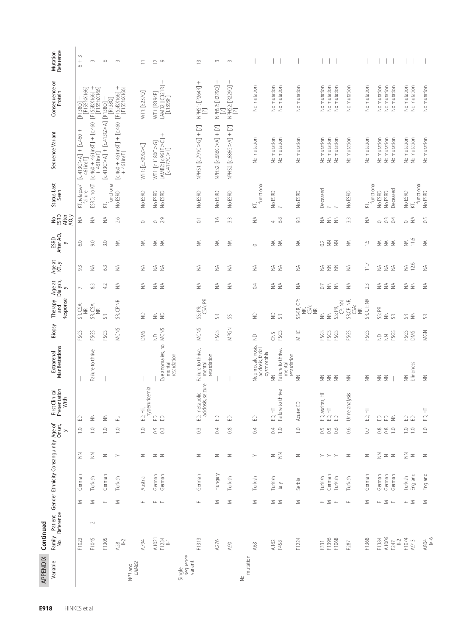| <b>APPENDIX</b>               | Continued                 |                                              |                    |                                                            |                     |                                                                    |                                             |                        |                                             |                          |                                   |                             |                               |                         |                                                                                 |                                              |                           |
|-------------------------------|---------------------------|----------------------------------------------|--------------------|------------------------------------------------------------|---------------------|--------------------------------------------------------------------|---------------------------------------------|------------------------|---------------------------------------------|--------------------------|-----------------------------------|-----------------------------|-------------------------------|-------------------------|---------------------------------------------------------------------------------|----------------------------------------------|---------------------------|
| Variable                      | Family<br>No.             | Reference                                    |                    | Patient Gender Ethnicity Consanguinity Age of<br>Reference |                     | Presentation<br>With<br>irst Clinical                              | Extrarenal<br>Manifestations                | Biopsy                 | Response<br>Therapy<br>and                  | Age at<br>Dialysis,<br>> | Age at<br>KT, y                   | ESRD<br>After AO,<br>$\geq$ | <b>PERD</b><br>After<br>AO, y | Status Last<br>Seen     | Sequence Variant                                                                | Consequence on<br>Protein                    | Mutation<br>Reference     |
|                               | F1023                     | Σ                                            | German             | $\geqq$                                                    | $\frac{1}{1}$       | $\ensuremath{\mathrel{\mathop{\triangle}}\!}$                      |                                             | FSGS                   | SR, CSA:<br>NR                              | $\sim$                   | 93                                | $\frac{0}{2}$               | ⋚                             | KT, relapse/<br>tailure | $[c.413G>AI + [c.460 +461insT]$                                                 | $[0.1380] +$<br>$[0.15555 \times 166]$       | 3<br>$\! + \!$<br>$\circ$ |
|                               | F1045                     | Σ<br>$\sim$                                  | Turkish            | $\frac{2}{2}$                                              | $\supseteq$         | $\geq$                                                             | Failure to thrive                           | FSGS                   | SR, CSA:<br>$\widetilde{\Xi}$               | 83                       | ₹                                 | $90$                        | ₹                             | ESRD, no KT             | $[c.460 + 461$ insT] + $[c.460$<br>$+46$ lins                                   | [F155fsX166] +<br>[F155fsX166]               | $\sim$                    |
|                               | F1305                     | $\sqcup$                                     | German             | $\geq$                                                     | $\supseteq$         | $\geq$                                                             |                                             | FSGS                   | g                                           | 42                       | $\mathbb{S}^3$                    | 3.0                         | ≨                             | functional<br>k,        | + [O8 cld] [Y A 9 slt 'J   + [Y A 9 slt 'J]                                     | $[0.138]$                                    | $\circ$                   |
| IVTI and<br>LAMB2             | $A28$<br>$II-2$           | Σ                                            | Turkish            | $\!>$                                                      | $\supseteq$         | $\supseteq$                                                        |                                             | MCNS                   | SR, CP:NR                                   | ≨                        | ₹                                 | ₹                           | 2.6                           | No ESRD                 | [c.460 + 461insT] + [c.460 [F155fsX166] +<br>  + 461insT] + [c.460 [F155fsX166] |                                              | $\sim$                    |
|                               | A794                      | $\frac{1}{2}$                                | Austria            | Z                                                          | $\overline{1.0}$    | Ë<br>£,                                                            |                                             | <b>DMS</b>             | $\infty$                                    | ≨                        | ₹                                 | ≸                           | $\circ$                       | No ESRD                 | WT1: [c.709G>C]                                                                 | WT1: [E237Q]                                 | Ξ                         |
|                               | $AT = 1234$<br>$F = 1234$ | $\begin{array}{ccc} \bot & \bot \end{array}$ | German<br>German   | $Z$ $Z$                                                    | $0.5$<br>0.3        | hyperuricemia<br>$\begin{array}{c} \square \\ \square \end{array}$ | Eye anomalies, no<br>retardation<br>mental  | MCNS<br>$\supseteq$    | $\n  g\n  g$                                | ≨≨                       | ≨≨                                | ≨<br>₹                      | 2.9<br>$\circ$                | No ESRD<br>No ESRD      | $\! + \!\!\!\!$<br>LAMB2: [c.961T>C]<br>[c.4177C>T]<br>WT1: [c.1180C>G]         | LAMB2: [C321R] +<br>[L1393F]<br>WTI: [R394P] | $\geq$ $\circ$            |
| Single<br>sequence<br>variant |                           |                                              |                    |                                                            |                     |                                                                    |                                             |                        |                                             |                          |                                   |                             |                               |                         |                                                                                 |                                              |                           |
|                               | F1313                     | Щ                                            | German             | Z                                                          | $0.\overline{3}$    | acidosis, seizure<br>metabolic<br>$\Xi$                            | Failure to thrive,<br>retardation<br>mental | <b>MCNS</b>            | CSA: PR<br>SS: PR;                          | ≨                        | ₹                                 | ≨                           | $\overline{\circ}$            | No ESRD                 | NPHS1: [c.791C>G] + [?]                                                         | NPHS1: [P264R] +<br>$\Xi$                    | $\tilde{=}$               |
|                               | A276                      | Σ                                            | Hungary            | Z                                                          | $\ddot{0}$ .        | $\ensuremath{\mathrel{\mathop{\triangle}}\!}$                      |                                             | FSGS                   | æ                                           | ≨                        | ₹                                 | ₹                           | $\frac{6}{1}$                 | No ESRD                 | NPHS2: [c.686G>A] + [?]                                                         | NPHS2: [R229Q] +<br>[?]                      | $\sim$                    |
|                               | Q6V                       | Σ                                            | Turkish            | $\geq$                                                     | 0.8                 | $\ominus$                                                          |                                             | MPGN                   | SS                                          | ₹                        | ₹                                 | ₹                           | 33                            | No ESRD                 | NPHS2: [c.686G>A] + [?]                                                         | NPHS2: [R229Q] +<br>[?]                      | $\sim$                    |
| mutation<br>$\frac{1}{2}$     |                           |                                              |                    |                                                            |                     |                                                                    |                                             |                        |                                             |                          |                                   |                             |                               |                         |                                                                                 |                                              |                           |
|                               | A63                       | Σ                                            | Turkish            | $\succ$                                                    | $\ddot{\circ}$      | $\ominus$                                                          | Nephrocalcinosis,<br>acidosis, facial       | $\frac{1}{2}$          | $\supseteq$                                 | $\Im$                    | ₹                                 | $\circ$                     | ₹                             | $KT_r$ functional       | No mutation                                                                     | No mutation                                  |                           |
|                               | A162<br>F458              | $\geq$ $\geq$                                | Turkish<br>Italy   | $z \n\leq$                                                 | 0.10                | ED, HT<br>Failure to thrive                                        | Failure to thrive,<br>dysmorphia<br>$\geqq$ | FSGS<br>S              | $\supseteq$                                 | ≨≨                       | ≨≨                                | ≨≨                          | 68<br>$\overline{ }$          | No ESRD<br>$\sim$       | No mutation<br>No mutation                                                      | No mutation<br>No mutation                   |                           |
|                               |                           |                                              |                    |                                                            |                     |                                                                    | retardation<br>mental                       |                        |                                             |                          |                                   |                             |                               |                         |                                                                                 |                                              |                           |
|                               | F1224                     | Σ                                            | Serbia             | $\geq$                                                     | $\supseteq$         | ite: ED<br>Acu                                                     | $\geq$                                      | WHC                    | SS-SR, CP:<br>NR,<br>Ś<br>$\widetilde{\Xi}$ | ≨                        | ₹                                 | ≶                           | $\Im$                         | No ESRD                 | No mutation                                                                     | No mutation                                  |                           |
|                               | F331                      |                                              | Turkish            |                                                            | $\rm C$             | ascites, HT                                                        | ₹                                           | FSGS                   | $\geqq$                                     | $\rm C$                  | $\lessgtr$                        | 3                           | ≨                             | Deceased                | No mutation                                                                     | No mutation                                  |                           |
|                               | F1396<br>F1068            | $\mathbb{L} \ \geq \ \mathbb{L}$             | German<br>Turkish  | $>$ $>$ $>$                                                | $0.5\,$<br>0.6      | E<br>$\ddot{\mathbf{e}}$ $\ddot{\mathbf{e}}$ $\mathbf{e}$          | $\n  z \n  z$                               | FSGS<br>FSGS           | CP: NN<br>SS: PR,<br>$\leq$                 | $\geqq$<br>$\geqq$       | $\leqq$<br>$\geqq$                | $\leqq$<br>$\geqq$          | $\leqq$<br>$\geqq$            |                         | No mutation<br>No mutation                                                      | No mutation<br>No mutation                   |                           |
|                               | F287                      | $\sqcup\!\sqcup$                             | Turkish            | $\geq$                                                     | 66                  | Urine analysis                                                     | $\leqq$                                     | FSGS                   | SR, CP: NR,<br>CSA:<br>NR                   | ₹                        | ₹                                 | ₹                           | 3.3                           | No ESRD                 | No mutation                                                                     | No mutation                                  |                           |
|                               | F1368                     | Σ                                            | German             | Z                                                          | C                   | E<br>£,                                                            | $\leqq$                                     | FSGS                   | SR, CT: NR                                  | 23                       | 117                               | $\overline{\phantom{a}}$    | ₹                             | functional<br>⊵         | No mutation                                                                     | No mutation                                  |                           |
|                               | F1384<br>A1006            |                                              | German             |                                                            |                     |                                                                    | $\geqq$<br>$\geqq$                          | $\supseteq$<br>$\geqq$ | SS: PR                                      |                          | ≸                                 | ≸                           | $\circ$                       | No ESRD<br>No ESRD      | No mutation                                                                     | No mutation                                  |                           |
|                               | $F247$<br>$  -2$          | $\mathbb{L} \ \geq \ \mathbb{L}$             | German<br>German   | $\frac{z}{2}$ z z                                          | $0.800$<br>$-0.000$ | $a \in \xi$                                                        |                                             | FSGS                   | $\leqq$<br>S                                | ≨ ≨ ≨                    | $\stackrel{\triangle}{\geq}$<br>₹ | $\lessgtr$<br>₹             | $\approx$<br>3                | Deceased                | No mutation<br>No mutation                                                      | No mutation<br>No mutation                   |                           |
|                               | F1074                     |                                              | Turkish<br>England | $\gtrapprox$                                               | $\frac{10}{10}$     | $\begin{array}{c} \square \\ \square \end{array}$                  | $\geq$                                      | FSGS                   | $\Im$                                       | $\leq \leq$              | ⋚                                 | ₹                           | $\circ$                       | No ESRD                 | No mutation                                                                     | No mutation                                  |                           |
|                               | A913                      |                                              |                    | $\, \geq$                                                  |                     |                                                                    | blindness                                   | <b>DMS</b>             | $\geqq$                                     |                          | 12.6                              | 11.6                        | ₹                             | functional<br>K,        | No mutation                                                                     | No mutation                                  |                           |
|                               | $A804$<br>$N-6$           | Σ                                            | England            | $\geq$                                                     | $\supseteq$         | 눈<br>£,                                                            | $\leqq$                                     | MGN                    | $\Im$                                       | $\lessgtr$               | $\lessgtr$                        | ₹                           | 30                            | No ESRD                 | No mutation                                                                     | No mutation                                  |                           |